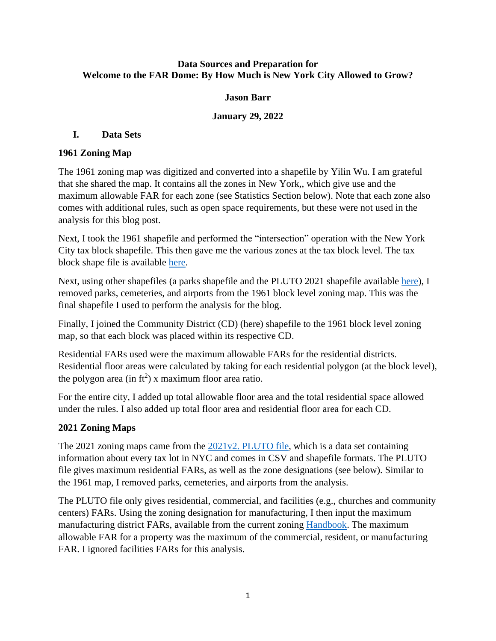#### **Data Sources and Preparation for Welcome to the FAR Dome: By How Much is New York City Allowed to Grow?**

## **Jason Barr**

#### **January 29, 2022**

## **I. Data Sets**

## **1961 Zoning Map**

The 1961 zoning map was digitized and converted into a shapefile by Yilin Wu. I am grateful that she shared the map. It contains all the zones in New York,, which give use and the maximum allowable FAR for each zone (see Statistics Section below). Note that each zone also comes with additional rules, such as open space requirements, but these were not used in the analysis for this blog post.

Next, I took the 1961 shapefile and performed the "intersection" operation with the New York City tax block shapefile. This then gave me the various zones at the tax block level. The tax block shape file is available [here.](https://data.cityofnewyork.us/Housing-Development/Department-of-Finance-Digital-Tax-Map/smk3-tmxj)

Next, using other shapefiles (a parks shapefile and the PLUTO 2021 shapefile available [here\)](https://www1.nyc.gov/site/planning/data-maps/open-data.page), I removed parks, cemeteries, and airports from the 1961 block level zoning map. This was the final shapefile I used to perform the analysis for the blog.

Finally, I joined the Community District (CD) (here) shapefile to the 1961 block level zoning map, so that each block was placed within its respective CD.

Residential FARs used were the maximum allowable FARs for the residential districts. Residential floor areas were calculated by taking for each residential polygon (at the block level), the polygon area (in  $\text{ft}^2$ ) x maximum floor area ratio.

For the entire city, I added up total allowable floor area and the total residential space allowed under the rules. I also added up total floor area and residential floor area for each CD.

## **2021 Zoning Maps**

The 2021 zoning maps came from the [2021v2. PLUTO file,](https://www1.nyc.gov/site/planning/data-maps/open-data.page) which is a data set containing information about every tax lot in NYC and comes in CSV and shapefile formats. The PLUTO file gives maximum residential FARs, as well as the zone designations (see below). Similar to the 1961 map, I removed parks, cemeteries, and airports from the analysis.

The PLUTO file only gives residential, commercial, and facilities (e.g., churches and community centers) FARs. Using the zoning designation for manufacturing, I then input the maximum manufacturing district FARs, available from the current zoning **Handbook**. The maximum allowable FAR for a property was the maximum of the commercial, resident, or manufacturing FAR. I ignored facilities FARs for this analysis.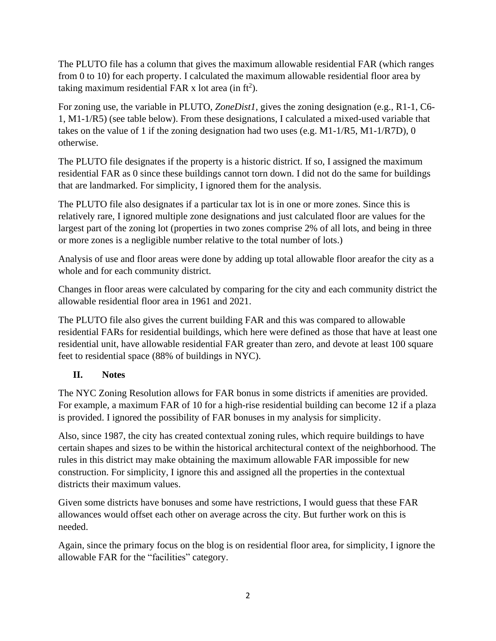The PLUTO file has a column that gives the maximum allowable residential FAR (which ranges from 0 to 10) for each property. I calculated the maximum allowable residential floor area by taking maximum residential FAR x lot area (in  $\text{ft}^2$ ).

For zoning use, the variable in PLUTO, *ZoneDist1,* gives the zoning designation (e.g., R1-1, C6- 1, M1-1/R5) (see table below). From these designations, I calculated a mixed-used variable that takes on the value of 1 if the zoning designation had two uses (e.g. M1-1/R5, M1-1/R7D), 0 otherwise.

The PLUTO file designates if the property is a historic district. If so, I assigned the maximum residential FAR as 0 since these buildings cannot torn down. I did not do the same for buildings that are landmarked. For simplicity, I ignored them for the analysis.

The PLUTO file also designates if a particular tax lot is in one or more zones. Since this is relatively rare, I ignored multiple zone designations and just calculated floor are values for the largest part of the zoning lot (properties in two zones comprise 2% of all lots, and being in three or more zones is a negligible number relative to the total number of lots.)

Analysis of use and floor areas were done by adding up total allowable floor areafor the city as a whole and for each community district.

Changes in floor areas were calculated by comparing for the city and each community district the allowable residential floor area in 1961 and 2021.

The PLUTO file also gives the current building FAR and this was compared to allowable residential FARs for residential buildings, which here were defined as those that have at least one residential unit, have allowable residential FAR greater than zero, and devote at least 100 square feet to residential space (88% of buildings in NYC).

## **II. Notes**

The NYC Zoning Resolution allows for FAR bonus in some districts if amenities are provided. For example, a maximum FAR of 10 for a high-rise residential building can become 12 if a plaza is provided. I ignored the possibility of FAR bonuses in my analysis for simplicity.

Also, since 1987, the city has created contextual zoning rules, which require buildings to have certain shapes and sizes to be within the historical architectural context of the neighborhood. The rules in this district may make obtaining the maximum allowable FAR impossible for new construction. For simplicity, I ignore this and assigned all the properties in the contextual districts their maximum values.

Given some districts have bonuses and some have restrictions, I would guess that these FAR allowances would offset each other on average across the city. But further work on this is needed.

Again, since the primary focus on the blog is on residential floor area, for simplicity, I ignore the allowable FAR for the "facilities" category.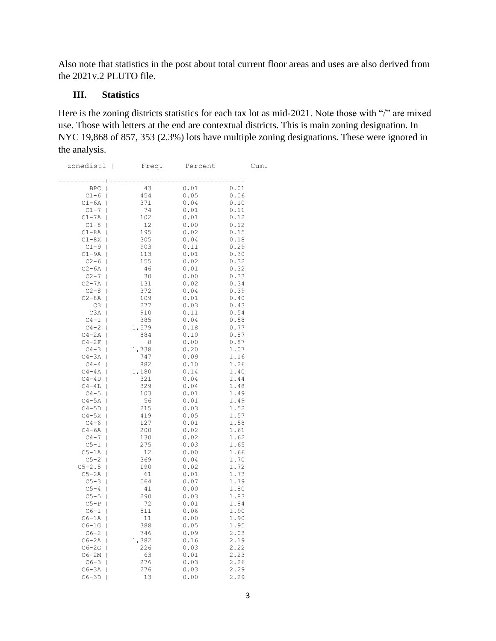Also note that statistics in the post about total current floor areas and uses are also derived from the 2021v.2 PLUTO file.

#### **III. Statistics**

Here is the zoning districts statistics for each tax lot as mid-2021. Note those with "/" are mixed use. Those with letters at the end are contextual districts. This is main zoning designation. In NYC 19,868 of 857, 353 (2.3%) lots have multiple zoning designations. These were ignored in the analysis.

| zonedist1                           | $\overline{\phantom{0}}$<br>Freq. | Percent      | Cum.         |
|-------------------------------------|-----------------------------------|--------------|--------------|
|                                     |                                   |              |              |
| <b>BPC</b><br>I                     | 43                                | 0.01         | 0.01         |
| $C1-6$<br>I                         | 454                               | 0.05         | 0.06         |
| C1-6A<br>I                          | 371                               | 0.04<br>0.01 | 0.10         |
| $C1 - 7$<br>I                       | 74<br>102                         | 0.01         | 0.11<br>0.12 |
| $C1 - 7A$<br>I                      |                                   | 0.00         |              |
| $C1-8$<br>I<br>$C1-8A$              | 12<br>195                         | 0.02         | 0.12<br>0.15 |
| I<br>$C1-8X$<br>I                   | 305                               | 0.04         | 0.18         |
| $C1-9$<br>I                         | 903                               | 0.11         | 0.29         |
| C1-9A<br>I                          | 113                               | 0.01         | 0.30         |
| $C2 - 6$<br>I                       | 155                               | 0.02         | 0.32         |
| $C2 - 6A$<br>I                      | 46                                | 0.01         | 0.32         |
| $C2-7$<br>I                         | 30                                | 0.00         | 0.33         |
| $C2 - 7A$<br>I                      | 131                               | 0.02         | 0.34         |
| $C2 - 8$<br>I                       | 372                               | 0.04         | 0.39         |
| $C2 - 8A$<br>1                      | 109                               | 0.01         | 0.40         |
| C3<br>ı                             | 277                               | 0.03         | 0.43         |
| C <sub>3</sub> A<br>I               | 910                               | 0.11         | 0.54         |
| $C4-1$<br>I                         | 385                               | 0.04         | 0.58         |
| $C4-2$<br>I                         | 1,579                             | 0.18         | 0.77         |
| $C4 - 2A$<br>I                      | 884                               | 0.10         | 0.87         |
| $C4 - 2F$                           | 8                                 | 0.00         | 0.87         |
| $C4 - 3$<br>I                       | 1,738                             | 0.20         | 1.07         |
| $C4 - 3A$<br>ı                      | 747                               | 0.09         | 1.16         |
| $C4-4$<br>I                         | 882                               | 0.10         | 1.26         |
| $C4 - 4A$<br>I                      | 1,180                             | 0.14         | 1.40         |
| C4-4D<br>ı                          | 321                               | 0.04         | 1.44         |
| $C4 - 4L$<br>I                      | 329                               | 0.04         | 1.48         |
| $C4-5$<br>I<br>$C4 - 5A$            | 103<br>56                         | 0.01<br>0.01 | 1.49<br>1.49 |
| ı<br>$C4-5D$<br>I                   | 215                               | 0.03         | 1.52         |
| C4-5X<br>I                          | 419                               | 0.05         | 1.57         |
| $C4-6$<br>$\overline{\phantom{a}}$  | 127                               | 0.01         | 1.58         |
| $C4 - 6A$<br>$\mathsf{I}$           | 200                               | 0.02         | 1.61         |
| $C4-7$<br>I                         | 130                               | 0.02         | 1.62         |
| $C5-1$<br>I                         | 275                               | 0.03         | 1.65         |
| $C5-1A$<br>$\overline{\phantom{a}}$ | 12                                | 0.00         | 1.66         |
| $C5-2$<br>I                         | 369                               | 0.04         | 1.70         |
| $C5 - 2.5$<br>I                     | 190                               | 0.02         | 1.72         |
| $C5 - 2A$<br>I                      | 61                                | 0.01         | 1.73         |
| $C5 - 3$<br>I                       | 564                               | 0.07         | 1.79         |
| $C5-4$<br>I                         | 41                                | 0.00         | 1.80         |
| $C5-5$<br>I                         | 290                               | 0.03         | 1.83         |
| $C5-P$<br>ı                         | 72                                | 0.01         | 1.84         |
| $C6-1$<br>I                         | 511                               | 0.06         | 1.90         |
| C6-1A<br>ı                          | 11                                | 0.00         | 1.90         |
| $C6-1G$<br>I                        | 388                               | 0.05         | 1.95         |
| $C6-2$<br>I                         | 746                               | 0.09         | 2.03<br>2.19 |
| $C6 - 2A$<br>I                      | 1,382                             | 0.16<br>0.03 | 2.22         |
| C6-2G<br>I<br>$C6 - 2M$<br>I        | 226<br>63                         | 0.01         | 2.23         |
| $C6-3$<br>I                         | 276                               | 0.03         | 2.26         |
| C6-3A<br>I                          | 276                               | 0.03         | 2.29         |
| C6-3D<br>I                          | 13                                | 0.00         | 2.29         |
|                                     |                                   |              |              |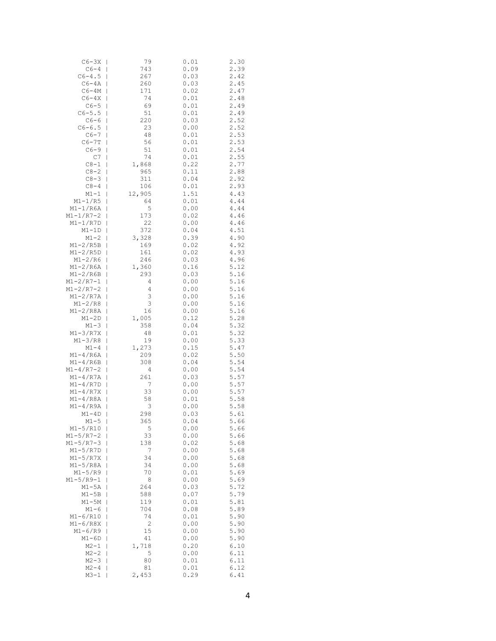| $C6 - 3X$              | 79             | 0.01         | 2.30         |
|------------------------|----------------|--------------|--------------|
| $C6-4$                 | 743            | 0.09         | 2.39         |
| $C6 - 4.5$             | 267            | 0.03         | 2.42         |
| $C6 - 4A$              | 260            | 0.03         | 2.45         |
| $C6 - 4M$              | 171            | 0.02         | 2.47         |
| $C6 - 4X$              | 74             | 0.01         | 2.48         |
| $C6-5$                 | 69<br>I        | 0.01         | 2.49         |
| $C6 - 5.5$             | 51             | 0.01         | 2.49         |
| $C6-6$                 | 220            | 0.03         | 2.52         |
| $C6 - 6.5$             | 23             | 0.00         | 2.52         |
| $C6-7$                 | 48             | 0.01         | 2.53         |
| $C6 - 7T$              | 56             | 0.01         | 2.53         |
| $C6-9$                 | 51<br>I        | 0.01         | 2.54         |
| C7                     | 74             | 0.01         | 2.55         |
| $C8-1$                 | 1,868<br>I     | 0.22         | 2.77         |
| $C8-2$                 | 965            | 0.11         | 2.88         |
| $C8 - 3$               | 311<br>I       | 0.04         | 2.92         |
| $C8 - 4$               | 106            | 0.01         | 2.93         |
| M1-1                   | 12,905         | 1.51         | 4.43         |
| M1-1/R5                | 64             | 0.01         | $4.44$       |
| M1-1/R6A               | 5              | 0.00         | 4.44         |
| $M1 - 1/R7 - 2$        | 173            | 0.02         | 4.46         |
| M1-1/R7D               | 22             | 0.00         | 4.46         |
| $M1 - 1D$              | 372            | 0.04         | 4.51         |
| $M1 - 2$               | 3,328          | 0.39         | 4.90         |
| $M1-2/R5B$             | 169            | 0.02         | 4.92         |
| $M1-2/R5D$             | 161            | 0.02         | 4.93         |
| $M1-2/R6$              | 246            | 0.03         | 4.96         |
| $M1-2/R6A$             | 1,360          | 0.16         | 5.12         |
| $M1-2/R6B$             | 293            | 0.03         | 5.16         |
| $M1 - 2/R7 - 1$        | 4              | 0.00         | 5.16         |
| $M1 - 2/R7 - 2$        | 4              | 0.00         | 5.16         |
| M1-2/R7A               | 3              | 0.00         | 5.16         |
| M1-2/R8                | 3              | 0.00         | 5.16         |
| M1-2/R8A               | 16             | 0.00         | 5.16         |
| $M1 - 2D$              | 1,005<br>I     | 0.12         | 5.28         |
| $M1 - 3$<br>$M1-3/R7X$ | 358<br>I<br>48 | 0.04<br>0.01 | 5.32<br>5.32 |
| $M1 - 3/R8$            | I<br>19        | 0.00         | 5.33         |
| $M1-4$                 | 1,273          | 0.15         | 5.47         |
| $M1 - 4/R6A$           | 209            | 0.02         | 5.50         |
| $M1-4/R6B$             | 308            | 0.04         | 5.54         |
| $M1 - 4/R7 - 2$        | 4              | 0.00         | 5.54         |
| $M1 - 4/R7A$           | 261            | 0.03         | 5.57         |
| $M1 - 4/RD$            | 7              | 0.00         | 5.57         |
| $M1 - 4/R7X$           | 33             | 0.00         | 5.57         |
| M1-4/R8A               | 58             | 0.01         | 5.58         |
| $M1 - 4/R9A$           | 3              | 0.00         | 5.58         |
| $M1 - 4D$              | 298<br>I       | 0.03         | 5.61         |
| $M1-5$                 | 365            | 0.04         | 5.66         |
| M1-5/R10               | 5<br>I         | 0.00         | 5.66         |
| $M1 - 5/R7 - 2$        | 33             | 0.00         | 5.66         |
| $M1 - 5/R7 - 3$        | 138            | 0.02         | 5.68         |
| $M1-5/R7D$             | 7              | 0.00         | 5.68         |
| $M1-5/R7X$             | 34             | 0.00         | 5.68         |
| $M1-5/R8A$             | 34             | 0.00         | 5.68         |
| $M1 - 5/R9$            | 70             | 0.01         | 5.69         |
| $M1 - 5/R9 - 1$        | 8              | 0.00         | 5.69         |
| M1-5A                  | 264            | 0.03         | 5.72         |
| M1-5B                  | 588            | 0.07         | 5.79         |
| M1-5M                  | 119            | 0.01         | 5.81         |
| M1-6                   | 704            | 0.08         | 5.89         |
| $M1 - 6/R10$           | 74             | 0.01         | 5.90         |
| M1-6/R8X               | 2              | 0.00         | 5.90         |
| M1-6/R9                | 15             | 0.00         | 5.90         |
| M1-6D                  | 41             | 0.00         | 5.90         |
| $M2 - 1$               | 1,718          | 0.20         | 6.10         |
| $M2 - 2$               | 5              | 0.00         | 6.11         |
| $M2 - 3$               | 80             | 0.01         | 6.11         |
| $M2 - 4$               | 81             | 0.01         | 6.12         |
| M3-1                   | 2,453          | 0.29         | 6.41         |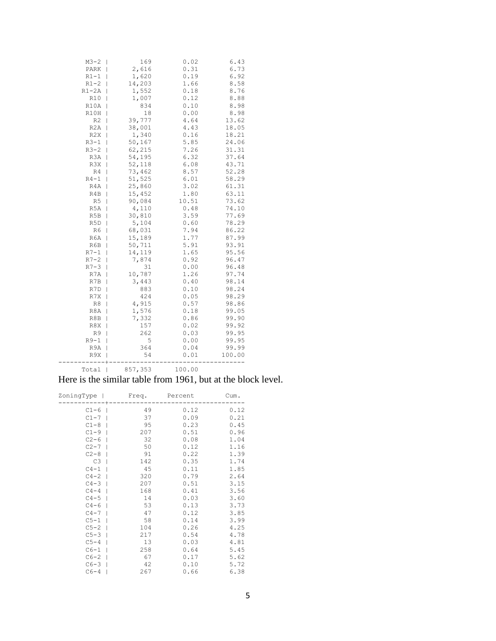| $M3 - 2$       | 169         | 0.02  | 6.43   |
|----------------|-------------|-------|--------|
| PARK           | 2,616       | 0.31  | 6.73   |
| $R1-1$         | 1,620       | 0.19  | 6.92   |
| $R1-2$         | 14,203      | 1.66  | 8.58   |
| $R1 - 2A$      | 1,552       | 0.18  | 8.76   |
| <b>R10</b>     | 1,007       | 0.12  | 8.88   |
| R10A           | 834         | 0.10  | 8.98   |
| R10H           | 18          | 0.00  | 8.98   |
| R <sub>2</sub> | 39,777      | 4.64  | 13.62  |
| R2A            | 38,001      | 4.43  | 18.05  |
| R2X            | 1,340<br>I  | 0.16  | 18.21  |
| $R3-1$         | 50,167      | 5.85  | 24.06  |
| $R3-2$         | 62,215      | 7.26  | 31.31  |
| R3A            | 54,195      | 6.32  | 37.64  |
| R3X            | 52,118      | 6.08  | 43.71  |
| R4             | 73,462<br>I | 8.57  | 52.28  |
| $R4-1$         | 51,525      | 6.01  | 58.29  |
| R4A            | 25,860      | 3.02  | 61.31  |
| R4B            | 15,452      | 1.80  | 63.11  |
| R5             | 90,084<br>I | 10.51 | 73.62  |
| R5A            | 4,110<br>I  | 0.48  | 74.10  |
| R5B            | 30,810      | 3.59  | 77.69  |
| R5D            | 5,104       | 0.60  | 78.29  |
| R6             | 68,031<br>I | 7.94  | 86.22  |
| R6A            | 15,189<br>I | 1.77  | 87.99  |
| R6B            | 50,711      | 5.91  | 93.91  |
| $R7-1$         | 14,119      | 1.65  | 95.56  |
| $R7-2$         | 7,874       | 0.92  | 96.47  |
| $R7 - 3$       | 31<br>I     | 0.00  | 96.48  |
| R7A            | 10,787      | 1.26  | 97.74  |
| R7B            | 3,443       | 0.40  | 98.14  |
| R7D            | 883         | 0.10  | 98.24  |
| R7X            | 424         | 0.05  | 98.29  |
| R8             | 4,915       | 0.57  | 98.86  |
| R8A            | 1,576<br>I  | 0.18  | 99.05  |
| R8B            | 7,332<br>I  | 0.86  | 99.90  |
| R8X            | 157         | 0.02  | 99.92  |
| R9             | 262<br>I    | 0.03  | 99.95  |
| $R9-1$         | 5           | 0.00  | 99.95  |
| R9A            | 364         | 0.04  | 99.99  |
| R9X            | 54          | 0.01  | 100.00 |
|                |             |       |        |

Total | 857,353 100.00

#### Here is the similar table from 1961, but at the block level.

| ZoningType | Freq. | Percent | Cum. |
|------------|-------|---------|------|
| $C1-6$     | 49    | 0.12    | 0.12 |
| $C1-7$     | 37    | 0.09    | 0.21 |
| $C1-8$     | 95    | 0.23    | 0.45 |
| $C1-9$     | 207   | 0.51    | 0.96 |
| $C2-6$     | 32    | 0.08    | 1.04 |
| $C2-7$     | 50    | 0.12    | 1.16 |
| $C2-8$     | 91    | 0.22    | 1.39 |
| C3         | 142   | 0.35    | 1.74 |
| $C4-1$     | -45   | 0.11    | 1.85 |
| $C4-2$     | 320   | 0.79    | 2.64 |
| $C4-3$     | 207   | 0.51    | 3.15 |
| $C4-4$     | 168   | 0.41    | 3.56 |
| $C4-5$     | 14    | 0.03    | 3.60 |
| $C4-6$     | 53    | 0.13    | 3.73 |
| $C4-7$     | 47    | 0.12    | 3.85 |
| $C5-1$     | 58    | 0.14    | 3.99 |
| $C5-2$     | 104   | 0.26    | 4.25 |
| $C5-3$     | 217   | 0.54    | 4.78 |
| $C5-4$     | 13    | 0.03    | 4.81 |
| $C6-1$     | 258   | 0.64    | 5.45 |
| $C6-2$     | 67    | 0.17    | 5.62 |
| $C6-3$     | 42    | 0.10    | 5.72 |
| $C6-4$     | 267   | 0.66    | 6.38 |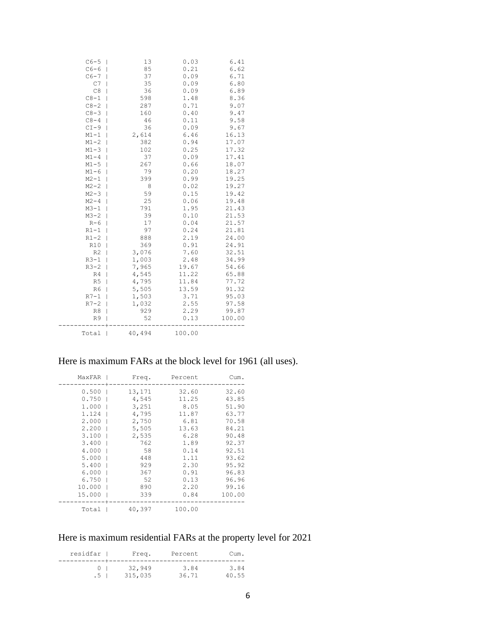| $C6-5$         | 13     | 0.03   | 6.41   |
|----------------|--------|--------|--------|
| $C6-6$         | 85     | 0.21   | 6.62   |
| $C6-7$         | 37     | 0.09   | 6.71   |
| C7             | 35     | 0.09   | 6.80   |
| C8             | 36     | 0.09   | 6.89   |
| $C8-1$         | 598    | 1.48   | 8.36   |
| $C8 - 2$       | 287    | 0.71   | 9.07   |
| $C8-3$         | 160    | 0.40   | 9.47   |
| $C8 - 4$       | 46     | 0.11   | 9.58   |
| $CI-9$         | 36     | 0.09   | 9.67   |
| $M1 - 1$       | 2,614  | 6.46   | 16.13  |
| $M1 - 2$       | 382    | 0.94   | 17.07  |
| $M1 - 3$       | 102    | 0.25   | 17.32  |
| $M1 - 4$       | 37     | 0.09   | 17.41  |
| $M1 - 5$       | 267    | 0.66   | 18.07  |
| $M1 - 6$       | 79     | 0.20   | 18.27  |
| $M2 - 1$       | 399    | 0.99   | 19.25  |
| $M2 - 2$       | 8      | 0.02   | 19.27  |
| $M2 - 3$       | 59     | 0.15   | 19.42  |
| $M2 - 4$       | 25     | 0.06   | 19.48  |
| $M3 - 1$       | 791    | 1.95   | 21.43  |
| $M3 - 2$       | 39     | 0.10   | 21.53  |
| $R-6$          | 17     | 0.04   | 21.57  |
| $R1-1$         | 97     | 0.24   | 21.81  |
| $R1-2$         | 888    | 2.19   | 24.00  |
| <b>R10</b>     | 369    | 0.91   | 24.91  |
| R <sub>2</sub> | 3,076  | 7.60   | 32.51  |
| $R3-1$         | 1,003  | 2.48   | 34.99  |
| $R3-2$         | 7,965  | 19.67  | 54.66  |
| R4             | 4,545  | 11.22  | 65.88  |
| R <sub>5</sub> | 4,795  | 11.84  | 77.72  |
| R6             | 5,505  | 13.59  | 91.32  |
| $R7-1$         | 1,503  | 3.71   | 95.03  |
| $R7-2$         | 1,032  | 2.55   | 97.58  |
| R8             | 929    | 2.29   | 99.87  |
| R9             | 52     | 0.13   | 100.00 |
| Total          | 40,494 | 100.00 |        |

# Here is maximum FARs at the block level for 1961 (all uses).

| MaxFAR  | Freq.  | Percent | Cum.   |
|---------|--------|---------|--------|
| $0.500$ | 13,171 | 32.60   | 32.60  |
| 0.750   | 4,545  | 11.25   | 43.85  |
| 1.000   | 3,251  | 8.05    | 51.90  |
| 1.124   | 4,795  | 11.87   | 63.77  |
| 2.000   | 2,750  | 6.81    | 70.58  |
| 2.200   | 5,505  | 13.63   | 84.21  |
| 3.100   | 2,535  | 6.28    | 90.48  |
| 3.400   | 762    | 1.89    | 92.37  |
| 4.000   | 58     | 0.14    | 92.51  |
| 5.000   | 448    | 1.11    | 93.62  |
| 5.400   | 929    | 2.30    | 95.92  |
| 6.000   | 367    | 0.91    | 96.83  |
| 6.750   | 52     | 0.13    | 96.96  |
| 10.000  | 890    | 2.20    | 99.16  |
| 15.000  | 339    | 0.84    | 100.00 |
| Total   | 40,397 | 100.00  |        |

# Here is maximum residential FARs at the property level for 2021

| residfar           | Freq.   | Percent | Cum.  |
|--------------------|---------|---------|-------|
| $(1 \quad 1 \quad$ | 32,949  | 3.84    | 3.84  |
| .5 <sub>1</sub>    | 315,035 | 36.71   | 40.55 |